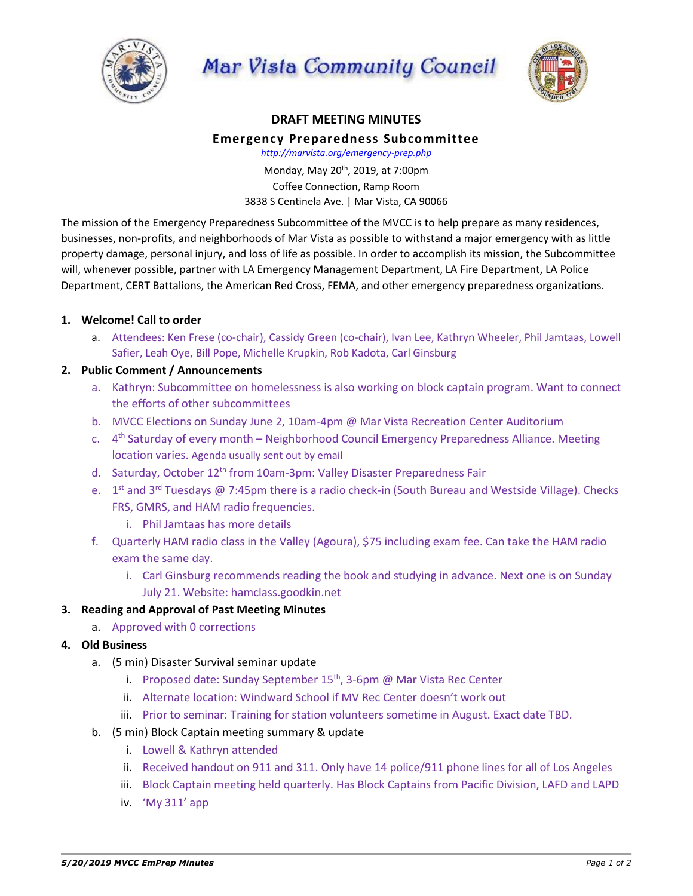

Mar Vista Community Council



### **DRAFT MEETING MINUTES**

#### **Emergency Preparedness Subcommittee**

*http://marvista.org/emergency-prep.php*

Monday, May 20th, 2019, at 7:00pm Coffee Connection, Ramp Room 3838 S Centinela Ave. | Mar Vista, CA 90066

The mission of the Emergency Preparedness Subcommittee of the MVCC is to help prepare as many residences, businesses, non-profits, and neighborhoods of Mar Vista as possible to withstand a major emergency with as little property damage, personal injury, and loss of life as possible. In order to accomplish its mission, the Subcommittee will, whenever possible, partner with LA Emergency Management Department, LA Fire Department, LA Police Department, CERT Battalions, the American Red Cross, FEMA, and other emergency preparedness organizations.

# **1. Welcome! Call to order**

a. Attendees: Ken Frese (co-chair), Cassidy Green (co-chair), Ivan Lee, Kathryn Wheeler, Phil Jamtaas, Lowell Safier, Leah Oye, Bill Pope, Michelle Krupkin, Rob Kadota, Carl Ginsburg

# **2. Public Comment / Announcements**

- a. Kathryn: Subcommittee on homelessness is also working on block captain program. Want to connect the efforts of other subcommittees
- b. MVCC Elections on Sunday June 2, 10am-4pm @ Mar Vista Recreation Center Auditorium
- c. 4<sup>th</sup> Saturday of every month Neighborhood Council Emergency Preparedness Alliance. Meeting location varies. Agenda usually sent out by email
- d. Saturday, October 12<sup>th</sup> from 10am-3pm: Valley Disaster Preparedness Fair
- e. 1<sup>st</sup> and 3<sup>rd</sup> Tuesdays @ 7:45pm there is a radio check-in (South Bureau and Westside Village). Checks FRS, GMRS, and HAM radio frequencies.
	- i. Phil Jamtaas has more details
- f. Quarterly HAM radio class in the Valley (Agoura), \$75 including exam fee. Can take the HAM radio exam the same day.
	- i. Carl Ginsburg recommends reading the book and studying in advance. Next one is on Sunday July 21. Website: hamclass.goodkin.net

### **3. Reading and Approval of Past Meeting Minutes**

a. Approved with 0 corrections

### **4. Old Business**

- a. (5 min) Disaster Survival seminar update
	- i. Proposed date: Sunday September  $15<sup>th</sup>$ , 3-6pm @ Mar Vista Rec Center
	- ii. Alternate location: Windward School if MV Rec Center doesn't work out
	- iii. Prior to seminar: Training for station volunteers sometime in August. Exact date TBD.
- b. (5 min) Block Captain meeting summary & update
	- i. Lowell & Kathryn attended
	- ii. Received handout on 911 and 311. Only have 14 police/911 phone lines for all of Los Angeles
	- iii. Block Captain meeting held quarterly. Has Block Captains from Pacific Division, LAFD and LAPD
	- iv. 'My 311' app